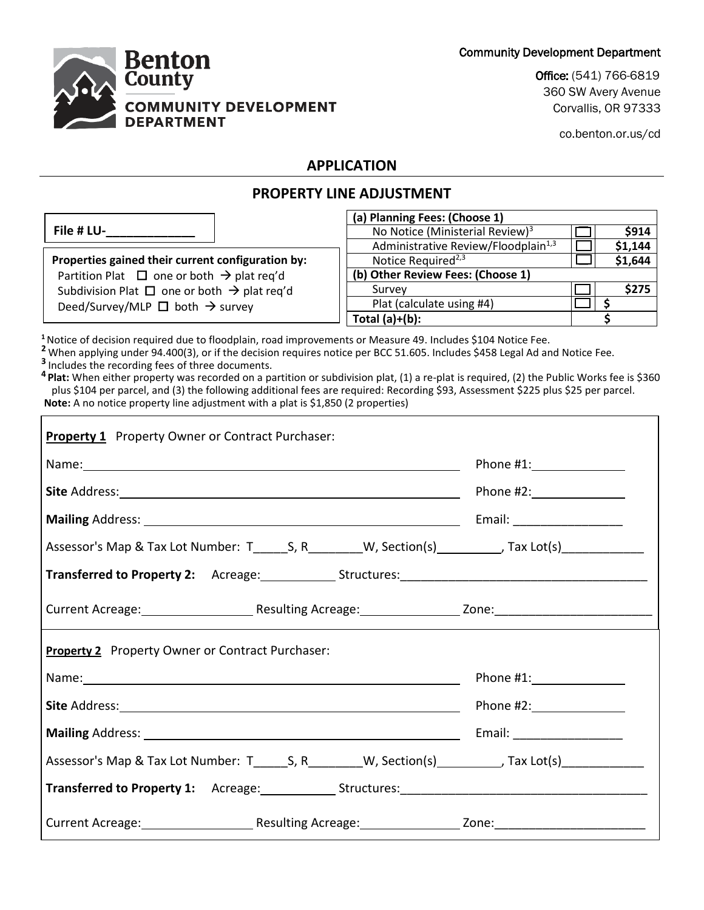Community Development Department



Office: (541) 766-6819 360 SW Avery Avenue Corvallis, OR 97333

co.benton.or.us/cd

## **APPLICATION**

# **PROPERTY LINE ADJUSTMENT**

|                                                              | (a) Planning Fees: (Choose 1)                   |         |
|--------------------------------------------------------------|-------------------------------------------------|---------|
| File # LU-                                                   | No Notice (Ministerial Review) <sup>3</sup>     | \$914   |
|                                                              | Administrative Review/Floodplain <sup>1,3</sup> | \$1,144 |
| Properties gained their current configuration by:            | Notice Required <sup>2,3</sup>                  | \$1,644 |
| Partition Plat $\Box$ one or both $\rightarrow$ plat req'd   | (b) Other Review Fees: (Choose 1)               |         |
| Subdivision Plat $\Box$ one or both $\rightarrow$ plat req'd | Survey                                          | \$275   |
| Deed/Survey/MLP $\Box$ both $\rightarrow$ survey             | Plat (calculate using #4)                       |         |
|                                                              | Total $(a)+(b)$ :                               |         |

**<sup>1</sup>**Notice of decision required due to floodplain, road improvements or Measure 49. Includes \$104 Notice Fee.

**<sup>2</sup>** When applying under 94.400(3), or if the decision requires notice per BCC 51.605. Includes \$458 Legal Ad and Notice Fee. **3** Includes the recording fees of three documents.

**<sup>4</sup> Plat:** When either property was recorded on a partition or subdivision plat, (1) a re-plat is required, (2) the Public Works fee is \$360 plus \$104 per parcel, and (3) the following additional fees are required: Recording \$93, Assessment \$225 plus \$25 per parcel. **Note:** A no notice property line adjustment with a plat is \$1,850 (2 properties)

| <b>Property 1</b> Property Owner or Contract Purchaser:                                                        |                              |
|----------------------------------------------------------------------------------------------------------------|------------------------------|
|                                                                                                                | Phone $\#1$ :                |
|                                                                                                                |                              |
| Mailing Address: 1988 and 2008 and 2008 and 2008 and 2008 and 2008 and 2008 and 2008 and 2008 and 2008 and 200 | Email: _____________________ |
| Assessor's Map & Tax Lot Number: T_______S, R__________W, Section(s)_________, Tax Lot(s)____________          |                              |
|                                                                                                                |                              |
|                                                                                                                |                              |
| <b>Property 2</b> Property Owner or Contract Purchaser:                                                        |                              |
|                                                                                                                |                              |
|                                                                                                                |                              |
|                                                                                                                | Email: _____________________ |
|                                                                                                                |                              |
|                                                                                                                |                              |
| Current Acreage: The Resulting Acreage: The Current Acreage and Acreagular and Acreagular 2010:                |                              |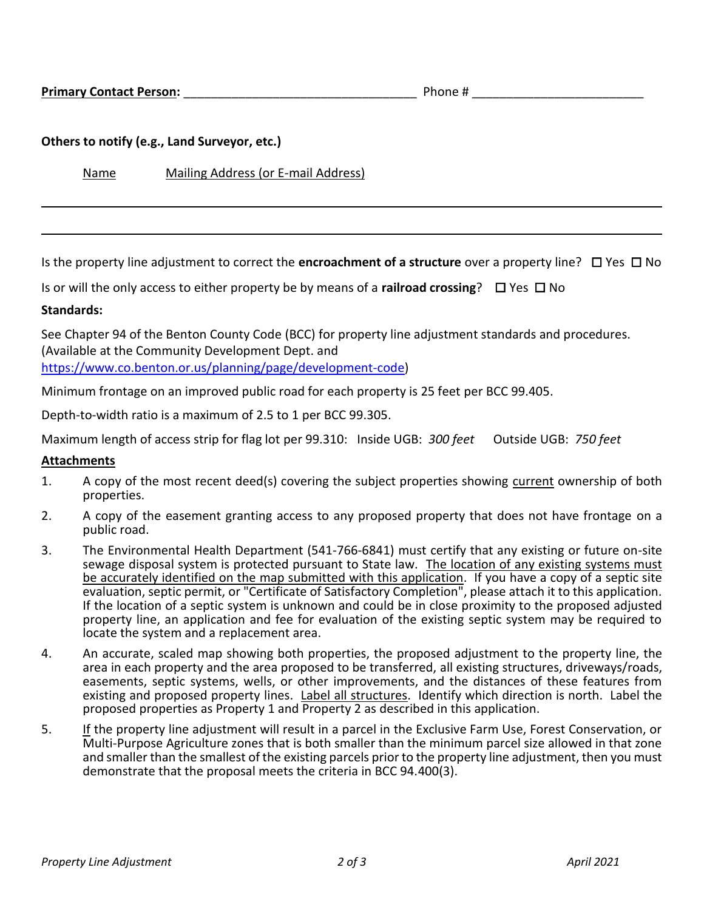#### **Others to notify (e.g., Land Surveyor, etc.)**

Name Mailing Address (or E-mail Address)

Is the property line adjustment to correct the **encroachment of a structure** over a property line?  $\Box$  Yes  $\Box$  No

Is or will the only access to either property be by means of a **railroad crossing**?  $\Box$  Yes  $\Box$  No

#### **Standards:**

See Chapter 94 of the Benton County Code (BCC) for property line adjustment standards and procedures. (Available at the Community Development Dept. and

[https://www.co.benton.or.us/planning/page/development-code\)](https://www.co.benton.or.us/planning/page/development-code)

Minimum frontage on an improved public road for each property is 25 feet per BCC 99.405.

Depth-to-width ratio is a maximum of 2.5 to 1 per BCC 99.305.

Maximum length of access strip for flag lot per 99.310: Inside UGB: *300 feet* Outside UGB: *750 feet*

#### **Attachments**

- 1. A copy of the most recent deed(s) covering the subject properties showing current ownership of both properties.
- 2. A copy of the easement granting access to any proposed property that does not have frontage on a public road.
- 3. The Environmental Health Department (541-766-6841) must certify that any existing or future on-site sewage disposal system is protected pursuant to State law. The location of any existing systems must be accurately identified on the map submitted with this application. If you have a copy of a septic site evaluation, septic permit, or "Certificate of Satisfactory Completion", please attach it to this application. If the location of a septic system is unknown and could be in close proximity to the proposed adjusted property line, an application and fee for evaluation of the existing septic system may be required to locate the system and a replacement area.
- 4. An accurate, scaled map showing both properties, the proposed adjustment to the property line, the area in each property and the area proposed to be transferred, all existing structures, driveways/roads, easements, septic systems, wells, or other improvements, and the distances of these features from existing and proposed property lines. Label all structures. Identify which direction is north. Label the proposed properties as Property 1 and Property 2 as described in this application.
- 5. If the property line adjustment will result in a parcel in the Exclusive Farm Use, Forest Conservation, or Multi-Purpose Agriculture zones that is both smaller than the minimum parcel size allowed in that zone and smaller than the smallest of the existing parcels prior to the property line adjustment, then you must demonstrate that the proposal meets the criteria in BCC 94.400(3).